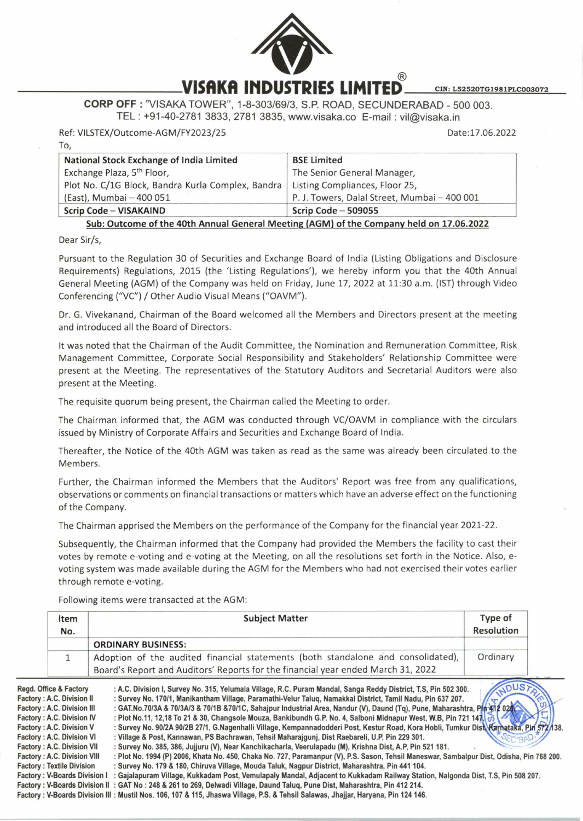

## **CORP OFF:** "VISAKA TOWER", 1-8-303/69/3, S.P. ROAD, SECUNDERABAD - 500 003. TEL : +91-40-2781 3833, 2781 3835, www.visaka.co E-mail : vil@visaka.in

Ref: VILSTEX/Outcome-AGM/FY2023/25

Date: 17.06.2022

| National Stock Exchange of India Limited                                                | <b>BSE Limited</b>                           |  |
|-----------------------------------------------------------------------------------------|----------------------------------------------|--|
| Exchange Plaza, 5 <sup>th</sup> Floor,                                                  | The Senior General Manager,                  |  |
| Plot No. C/1G Block, Bandra Kurla Complex, Bandra                                       | Listing Compliances, Floor 25,               |  |
| (East), Mumbai - 400 051                                                                | P. J. Towers, Dalal Street, Mumbai - 400 001 |  |
| Scrip Code - VISAKAIND                                                                  | Scrip Code $-509055$                         |  |
| Sub: Outcome of the 40th Annual General Meeting (AGM) of the Company held on 17.06.2022 |                                              |  |

## Dear Sir/s,

To,

Pursuant to the Regulation 30 of Securities and Exchange Board of India (Listing Obligations and Disclosure Requirements) Regulations, 2015 (the 'Listing Regulations'), we hereby inform you that the 40th Annua l General Meeting (AGM) of the Company was held on Friday, June 17, 2022 at 11:30 a.m. (1ST) through Video Conferencing ("VC") / Other Audio Visual Means ("OAVM").

Dr. G. Vivekanand, Chairman of the Board welcomed all the Members and Directors present at the meeting and introduced all the Board of Directors.

It was noted that the Chairman of the Audit Committee, the Nomination and Remuneration Committee, Risk Management Committee, Corporate Social Responsibility and Stakeholders' Relationship Committee were present at the Meeting. The representatives of the Statutory Auditors and Secretarial Auditors were also present at the Meeting.

The requisite quorum being present, the Chairman called the Meeting to order.

The Chairman informed that, the AGM was conducted through VC/OAVM in compliance with the circulars issued by Ministry of Corporate Affairs and Securities and Exchange Board of India.

Thereafter, the Notice of the 40th AGM was taken as read as the same was already been circulated to the Members.

Further, the Chairman informed the Members that the Auditors' Report was free from any qualifications, observations or comments on financial transactions or matters which have an adverse effect on the functioning of the Company.

The Chairman apprised the Members on the performance of the Company for the financial year 2021-22.

Subsequently, the Chairman informed that the Company had provided the Members the facility to cast their votes by remote e-voting and e-voting at the Meeting, on all the resolutions set forth in the Notice. Also, evoting system was made available during the AGM for the Members who had not exercised their votes earlier through remote e-voting.

Following items were transacted at the AGM:

| Item<br>No. | <b>Subject Matter</b>                                                                                                                                                | Type of<br><b>Resolution</b> |
|-------------|----------------------------------------------------------------------------------------------------------------------------------------------------------------------|------------------------------|
|             | <b>ORDINARY BUSINESS:</b>                                                                                                                                            |                              |
|             | Adoption of the audited financial statements (both standalone and consolidated),<br>Board's Report and Auditors' Reports for the financial year ended March 31, 2022 | Ordinary                     |